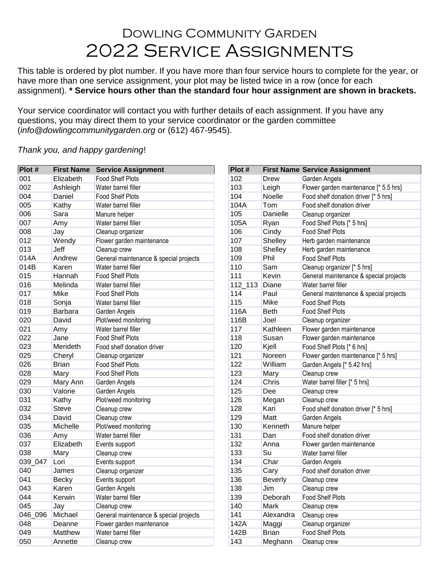## Dowling Community Garden 2022 Service Assignments

This table is ordered by plot number. If you have more than four service hours to complete for the year, or have more than one service assignment, your plot may be listed twice in a row (once for each assignment). **\* Service hours other than the standard four hour assignment are shown in brackets.**

Your service coordinator will contact you with further details of each assignment. If you have any questions, you may direct them to your service coordinator or the garden committee (*info@dowlingcommunitygarden.org* or (612) 467-9545).

*Thank you, and happy gardening*!

| Plot #  |                | <b>First Name Service Assignment</b>   | Plot #  |                | <b>First Name Service Assignment</b>   |  |
|---------|----------------|----------------------------------------|---------|----------------|----------------------------------------|--|
| 001     | Elizabeth      | <b>Food Shelf Plots</b>                | 102     | Drew           | Garden Angels                          |  |
| 002     | Ashleigh       | Water barrel filler                    | 103     | Leigh          | Flower garden maintenance [* 5.5 hrs]  |  |
| 004     | Daniel         | <b>Food Shelf Plots</b>                | 104     | Noelle         | Food shelf donation driver [* 5 hrs]   |  |
| 005     | Kathy          | Water barrel filler                    | 104A    | Tom            | Food shelf donation driver             |  |
| 006     | Sara           | Manure helper                          | 105     | Danielle       | Cleanup organizer                      |  |
| 007     | Amy            | Water barrel filler                    | 105A    | Ryan           | Food Shelf Plots [* 5 hrs]             |  |
| 008     | Jay            | Cleanup organizer                      | 106     | Cindy          | <b>Food Shelf Plots</b>                |  |
| 012     | Wendy          | Flower garden maintenance              | 107     | Shelley        | Herb garden maintenance                |  |
| 013     | Jeff           | Cleanup crew                           | 108     | Shelley        | Herb garden maintenance                |  |
| 014A    | Andrew         | General maintenance & special projects | 109     | Phil           | <b>Food Shelf Plots</b>                |  |
| 014B    | Karen          | Water barrel filler                    | 110     | Sam            | Cleanup organizer [* 5 hrs]            |  |
| 015     | Hannah         | <b>Food Shelf Plots</b>                | 111     | Kevin          | General maintenance & special projects |  |
| 016     | Melinda        | Water barrel filler                    | 112_113 | Diane          | Water barrel filler                    |  |
| 017     | Mike           | <b>Food Shelf Plots</b>                | 114     | Paul           | General maintenance & special projects |  |
| 018     | Sonja          | Water barrel filler                    | 115     | Mike           | <b>Food Shelf Plots</b>                |  |
| 019     | <b>Barbara</b> | Garden Angels                          | 116A    | <b>Beth</b>    | <b>Food Shelf Plots</b>                |  |
| 020     | David          | Plot/weed monitoring                   | 116B    | Joel           | Cleanup organizer                      |  |
| 021     | Amy            | Water barrel filler                    | 117     | Kathleen       | Flower garden maintenance              |  |
| 022     | Jane           | <b>Food Shelf Plots</b>                | 118     | Susan          | Flower garden maintenance              |  |
| 023     | Merideth       | Food shelf donation driver             | 120     | Kjell          | Food Shelf Plots [* 6 hrs]             |  |
| 025     | Cheryl         | Cleanup organizer                      | 121     | Noreen         | Flower garden maintenance [* 5 hrs]    |  |
| 026     | <b>Brian</b>   | <b>Food Shelf Plots</b>                | 122     | William        | Garden Angels [* 5.42 hrs]             |  |
| 028     | Mary           | <b>Food Shelf Plots</b>                | 123     | Mary           | Cleanup crew                           |  |
| 029     | Mary Ann       | Garden Angels                          | 124     | Chris          | Water barrel filler [* 5 hrs]          |  |
| 030     | Valorie        | Garden Angels                          | 125     | Dee            | Cleanup crew                           |  |
| 031     | Kathy          | Plot/weed monitoring                   | 126     | Megan          | Cleanup crew                           |  |
| 032     | <b>Steve</b>   | Cleanup crew                           | 128     | Kari           | Food shelf donation driver [* 5 hrs]   |  |
| 034     | David          | Cleanup crew                           | 129     | Matt           | Garden Angels                          |  |
| 035     | Michelle       | Plot/weed monitoring                   | 130     | Kenneth        | Manure helper                          |  |
| 036     | Amy            | Water barrel filler                    | 131     | Dan            | Food shelf donation driver             |  |
| 037     | Elizabeth      | Events support                         | 132     | Anna           | Flower garden maintenance              |  |
| 038     | Mary           | Cleanup crew                           | 133     | Su             | Water barrel filler                    |  |
| 039_047 | Lori           | Events support                         | 134     | Char           | Garden Angels                          |  |
| 040     | James          | Cleanup organizer                      | 135     | Cary           | Food shelf donation driver             |  |
| 041     | <b>Becky</b>   | Events support                         | 136     | <b>Beverly</b> | Cleanup crew                           |  |
| 043     | Karen          | Garden Angels                          | 138     | Jim            | Cleanup crew                           |  |
| 044     | Kerwin         | Water barrel filler                    | 139     | Deborah        | Food Shelf Plots                       |  |
| 045     | Jay            | Cleanup crew                           | 140     | Mark           | Cleanup crew                           |  |
| 046 096 | Michael        | General maintenance & special projects | 141     | Alexandra      | Cleanup crew                           |  |
| 048     | Deanne         | Flower garden maintenance              | 142A    | Maggi          | Cleanup organizer                      |  |
| 049     | Matthew        | Water barrel filler                    | 142B    | <b>Brian</b>   | <b>Food Shelf Plots</b>                |  |
| 050     | Annette        | Cleanup crew                           | 143     | Meghann        | Cleanup crew                           |  |

| Plot #         |                | <b>First Name Service Assignment</b>               |
|----------------|----------------|----------------------------------------------------|
| 102            | Drew           | Garden Angels                                      |
| 103            | Leigh          | Flower garden maintenance [* 5.5 hrs]              |
| 104            | Noelle         | Food shelf donation driver [* 5 hrs]               |
| 104A           | Tom            | Food shelf donation driver                         |
| 105            | Danielle       | Cleanup organizer                                  |
| 105A           | Ryan           | Food Shelf Plots [* 5 hrs]                         |
| 106            | Cindy          | <b>Food Shelf Plots</b>                            |
| 107            | Shelley        |                                                    |
| 108            | Shelley        | Herb garden maintenance                            |
| 109            | Phil           | Herb garden maintenance<br><b>Food Shelf Plots</b> |
| 110            | Sam            |                                                    |
| 111            | Kevin          | Cleanup organizer [* 5 hrs]                        |
|                |                | General maintenance & special projects             |
| 112_113<br>114 | Diane<br>Paul  | Water barrel filler                                |
|                |                | General maintenance & special projects             |
| 115            | Mike           | <b>Food Shelf Plots</b>                            |
| 116A           | <b>Beth</b>    | <b>Food Shelf Plots</b>                            |
| 116B           | Joel           | Cleanup organizer                                  |
| 117            | Kathleen       | Flower garden maintenance                          |
| 118            | Susan          | Flower garden maintenance                          |
| 120            | Kjell          | Food Shelf Plots [* 6 hrs]                         |
| 121            | Noreen         | Flower garden maintenance [* 5 hrs]                |
| 122            | William        | Garden Angels [* 5.42 hrs]                         |
| 123            | Mary           | Cleanup crew                                       |
| 124            | Chris          | Water barrel filler [* 5 hrs]                      |
| 125            | Dee            | Cleanup crew                                       |
| 126            | Megan          | Cleanup crew                                       |
| 128            | Kari           | Food shelf donation driver [* 5 hrs]               |
| 129            | Matt           | Garden Angels                                      |
| 130            | Kenneth        | Manure helper                                      |
| 131            | Dan            | Food shelf donation driver                         |
| 132            | Anna           | Flower garden maintenance                          |
| 133            | Su             | Water barrel filler                                |
| 134            | Char           | Garden Angels                                      |
| 135            | Cary           | Food shelf donation driver                         |
| 136            | <b>Beverly</b> | Cleanup crew                                       |
| 138            | Jim            | Cleanup crew                                       |
| 139            | Deborah        | <b>Food Shelf Plots</b>                            |
| 140            | Mark           | Cleanup crew                                       |
| 141            | Alexandra      | Cleanup crew                                       |
| 142A           | Maggi          | Cleanup organizer                                  |
| 142B           | <b>Brian</b>   | Food Shelf Plots                                   |
| 143            | Meghann        | Cleanup crew                                       |